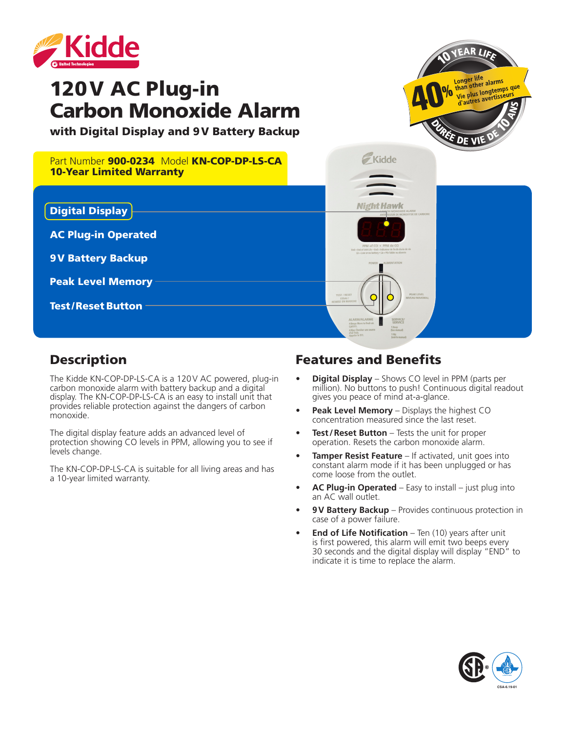

# 120V AC Plug-in Carbon Monoxide Alarm

with Digital Display and 9V Battery Backup



| Part Number 900-0234 Model KN-COP-DP-LS-CA<br><b>10-Year Limited Warranty</b>    |                                                                                                                                                                                                                                                                                                                                                       |
|----------------------------------------------------------------------------------|-------------------------------------------------------------------------------------------------------------------------------------------------------------------------------------------------------------------------------------------------------------------------------------------------------------------------------------------------------|
| <b>Digital Display</b><br><b>AC Plug-in Operated</b><br><b>9V Battery Backup</b> | <b>Night Hawk</b><br>AVER ISSEUR DE MONOXYDE DE CARBONE<br>PPM of CO . PPM de CO<br>End = End of Unit Life = End = Indicateur de fin de durée de vie<br>Lb = Low or no battery . Lb = Pile faible ou absente                                                                                                                                          |
| <b>Peak Level Memory</b><br><b>Test/Reset Button</b>                             | POWER ALIMENTATION<br><b>PEAK LEVEL</b><br><b>TEST / RESET</b><br>NIVEAU MAXIMAL<br>ESSAI /<br><b>REMISE EN MARCHE</b><br>ALARM/ALARME<br><b>SERVICE/</b><br><b>SERVICE</b><br>4 Beeps Move to fresh air.<br>Call 911.<br>18cco<br>A Bips Chercher une source<br>(See manual)<br>d'air frais.<br>180 <sub>o</sub><br>Appelor le 911.<br>(voir la manu |

# **Description**

The Kidde KN-COP-DP-LS-CA is a 120V AC powered, plug-in carbon monoxide alarm with battery backup and a digital display. The KN-COP-DP-LS-CA is an easy to install unit that provides reliable protection against the dangers of carbon monoxide.

The digital display feature adds an advanced level of protection showing CO levels in PPM, allowing you to see if levels change.

The KN-COP-DP-LS-CA is suitable for all living areas and has a 10-year limited warranty.

## Features and Benefits

- **• Digital Display** Shows CO level in PPM (parts per million). No buttons to push! Continuous digital readout gives you peace of mind at-a-glance.
- **• Peak Level Memory** Displays the highest CO concentration measured since the last reset.
- **• Test/Reset Button** Tests the unit for proper operation. Resets the carbon monoxide alarm.
- **• Tamper Resist Feature** If activated, unit goes into constant alarm mode if it has been unplugged or has come loose from the outlet.
- **• AC Plug-in Operated** Easy to install just plug into an AC wall outlet.
- **• 9V Battery Backup**  Provides continuous protection in case of a power failure.
- **End of Life Notification** Ten (10) years after unit is first powered, this alarm will emit two beeps every 30 seconds and the digital display will display "END" to indicate it is time to replace the alarm.